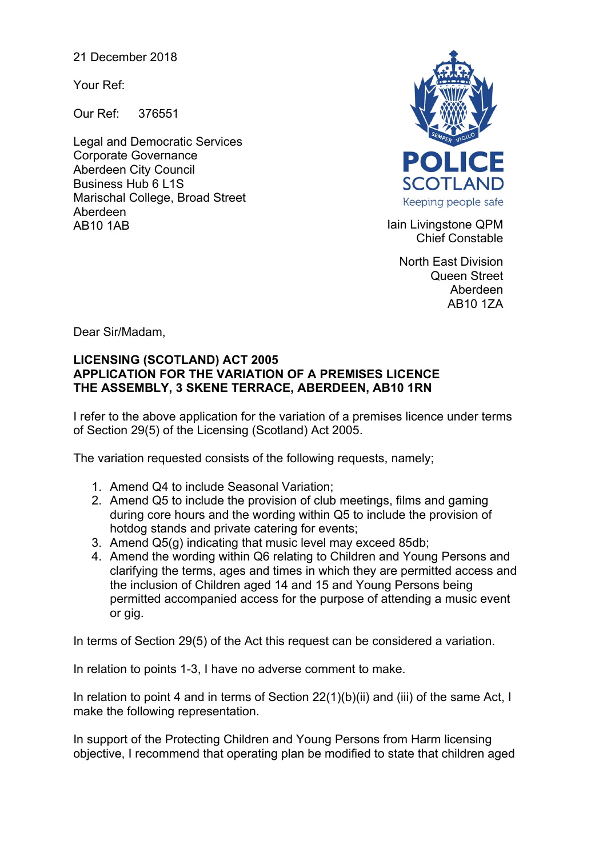21 December 2018

Your Ref:

Our Ref: 376551

Legal and Democratic Services Corporate Governance Aberdeen City Council Business Hub 6 L1S Marischal College, Broad Street Aberdeen AB10 1AB **Iain Livingstone QPM** 



Chief Constable

North East Division Queen Street Aberdeen AB10 1ZA

Dear Sir/Madam,

## **LICENSING (SCOTLAND) ACT 2005 APPLICATION FOR THE VARIATION OF A PREMISES LICENCE THE ASSEMBLY, 3 SKENE TERRACE, ABERDEEN, AB10 1RN**

I refer to the above application for the variation of a premises licence under terms of Section 29(5) of the Licensing (Scotland) Act 2005.

The variation requested consists of the following requests, namely;

- 1. Amend Q4 to include Seasonal Variation;
- 2. Amend Q5 to include the provision of club meetings, films and gaming during core hours and the wording within Q5 to include the provision of hotdog stands and private catering for events;
- 3. Amend Q5(g) indicating that music level may exceed 85db;
- 4. Amend the wording within Q6 relating to Children and Young Persons and clarifying the terms, ages and times in which they are permitted access and the inclusion of Children aged 14 and 15 and Young Persons being permitted accompanied access for the purpose of attending a music event or gig.

In terms of Section 29(5) of the Act this request can be considered a variation.

In relation to points 1-3, I have no adverse comment to make.

In relation to point 4 and in terms of Section 22(1)(b)(ii) and (iii) of the same Act, I make the following representation.

In support of the Protecting Children and Young Persons from Harm licensing objective, I recommend that operating plan be modified to state that children aged